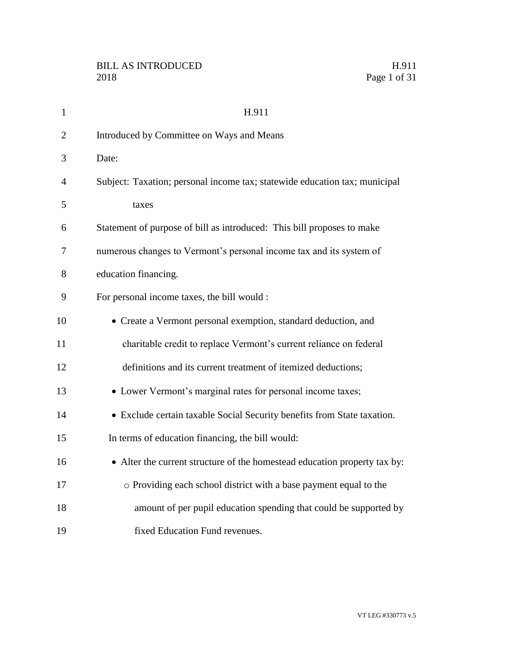| $\mathbf{1}$   | H.911                                                                      |
|----------------|----------------------------------------------------------------------------|
| $\overline{2}$ | Introduced by Committee on Ways and Means                                  |
| 3              | Date:                                                                      |
| $\overline{4}$ | Subject: Taxation; personal income tax; statewide education tax; municipal |
| 5              | taxes                                                                      |
| 6              | Statement of purpose of bill as introduced: This bill proposes to make     |
| 7              | numerous changes to Vermont's personal income tax and its system of        |
| 8              | education financing.                                                       |
| 9              | For personal income taxes, the bill would :                                |
| 10             | • Create a Vermont personal exemption, standard deduction, and             |
| 11             | charitable credit to replace Vermont's current reliance on federal         |
| 12             | definitions and its current treatment of itemized deductions;              |
| 13             | • Lower Vermont's marginal rates for personal income taxes;                |
| 14             | • Exclude certain taxable Social Security benefits from State taxation.    |
| 15             | In terms of education financing, the bill would:                           |
| 16             | • Alter the current structure of the homestead education property tax by:  |
| 17             | o Providing each school district with a base payment equal to the          |
| 18             | amount of per pupil education spending that could be supported by          |
| 19             | fixed Education Fund revenues.                                             |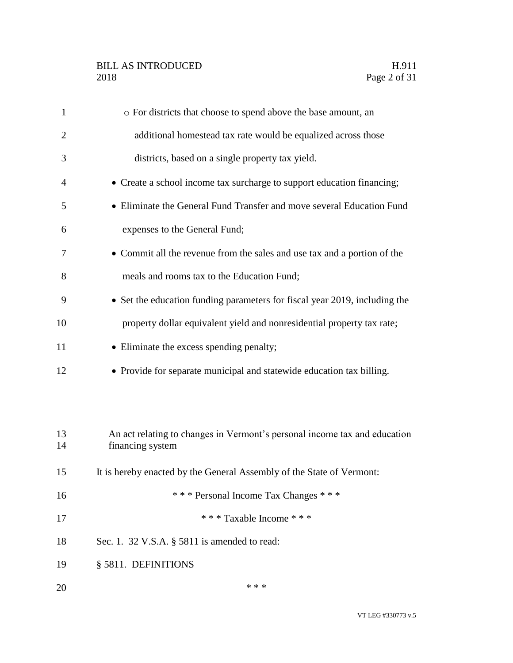### BILL AS INTRODUCED H.911<br>2018 Page 2 of 31

| $\mathbf{1}$   | o For districts that choose to spend above the base amount, an                                |
|----------------|-----------------------------------------------------------------------------------------------|
| $\overline{2}$ | additional homestead tax rate would be equalized across those                                 |
| 3              | districts, based on a single property tax yield.                                              |
| 4              | • Create a school income tax surcharge to support education financing;                        |
| 5              | • Eliminate the General Fund Transfer and move several Education Fund                         |
| 6              | expenses to the General Fund;                                                                 |
| 7              | • Commit all the revenue from the sales and use tax and a portion of the                      |
| 8              | meals and rooms tax to the Education Fund;                                                    |
| 9              | • Set the education funding parameters for fiscal year 2019, including the                    |
| 10             | property dollar equivalent yield and nonresidential property tax rate;                        |
| 11             | • Eliminate the excess spending penalty;                                                      |
| 12             | • Provide for separate municipal and statewide education tax billing.                         |
|                |                                                                                               |
|                |                                                                                               |
| 13<br>14       | An act relating to changes in Vermont's personal income tax and education<br>financing system |
| 15             | It is hereby enacted by the General Assembly of the State of Vermont:                         |
| 16             | *** Personal Income Tax Changes ***                                                           |
| 17             | *** Taxable Income ***                                                                        |
| 18             | Sec. 1. 32 V.S.A. $\S$ 5811 is amended to read:                                               |
| 19             | § 5811. DEFINITIONS                                                                           |
|                |                                                                                               |
| 20             | * * *                                                                                         |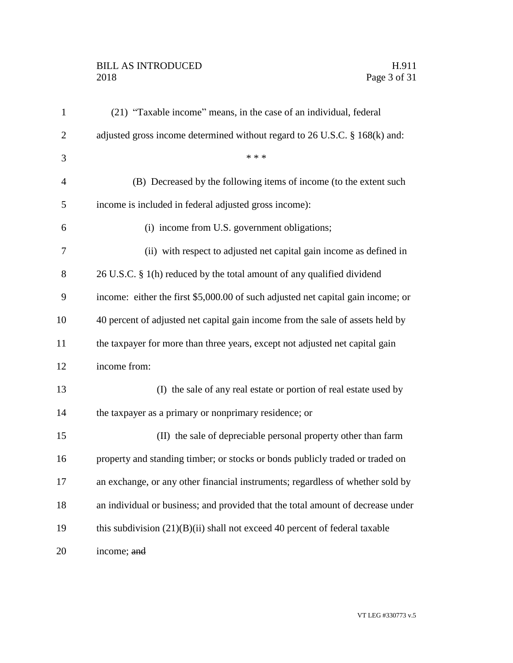### BILL AS INTRODUCED H.911<br>2018 Page 3 of 31

| $\mathbf{1}$   | (21) "Taxable income" means, in the case of an individual, federal               |
|----------------|----------------------------------------------------------------------------------|
| $\overline{2}$ | adjusted gross income determined without regard to 26 U.S.C. § 168(k) and:       |
| 3              | * * *                                                                            |
| $\overline{4}$ | (B) Decreased by the following items of income (to the extent such               |
| 5              | income is included in federal adjusted gross income):                            |
| 6              | (i) income from U.S. government obligations;                                     |
| 7              | (ii) with respect to adjusted net capital gain income as defined in              |
| 8              | 26 U.S.C. § 1(h) reduced by the total amount of any qualified dividend           |
| 9              | income: either the first \$5,000.00 of such adjusted net capital gain income; or |
| 10             | 40 percent of adjusted net capital gain income from the sale of assets held by   |
| 11             | the taxpayer for more than three years, except not adjusted net capital gain     |
| 12             | income from:                                                                     |
| 13             | (I) the sale of any real estate or portion of real estate used by                |
| 14             | the taxpayer as a primary or nonprimary residence; or                            |
| 15             | (II) the sale of depreciable personal property other than farm                   |
| 16             | property and standing timber; or stocks or bonds publicly traded or traded on    |
| 17             | an exchange, or any other financial instruments; regardless of whether sold by   |
| 18             | an individual or business; and provided that the total amount of decrease under  |
| 19             | this subdivision $(21)(B)(ii)$ shall not exceed 40 percent of federal taxable    |
| 20             | income; and                                                                      |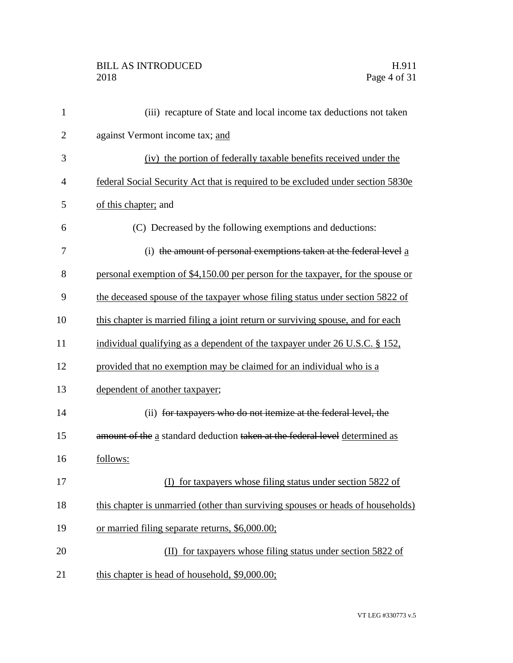| $\mathbf{1}$   | (iii) recapture of State and local income tax deductions not taken              |
|----------------|---------------------------------------------------------------------------------|
| $\overline{2}$ | against Vermont income tax; and                                                 |
| 3              | (iv) the portion of federally taxable benefits received under the               |
| 4              | federal Social Security Act that is required to be excluded under section 5830e |
| 5              | of this chapter; and                                                            |
| 6              | (C) Decreased by the following exemptions and deductions:                       |
| 7              | (i) the amount of personal exemptions taken at the federal level $a$            |
| 8              | personal exemption of \$4,150.00 per person for the taxpayer, for the spouse or |
| 9              | the deceased spouse of the taxpayer whose filing status under section 5822 of   |
| 10             | this chapter is married filing a joint return or surviving spouse, and for each |
| 11             | individual qualifying as a dependent of the taxpayer under 26 U.S.C. § 152,     |
| 12             | provided that no exemption may be claimed for an individual who is a            |
| 13             | dependent of another taxpayer;                                                  |
| 14             | (ii) for taxpayers who do not itemize at the federal level, the                 |
| 15             | amount of the a standard deduction taken at the federal level determined as     |
| 16             | follows:                                                                        |
| 17             | (I) for taxpayers whose filing status under section 5822 of                     |
| 18             | this chapter is unmarried (other than surviving spouses or heads of households) |
| 19             | or married filing separate returns, \$6,000.00;                                 |
| 20             | (II) for taxpayers whose filing status under section 5822 of                    |
| 21             | this chapter is head of household, \$9,000.00;                                  |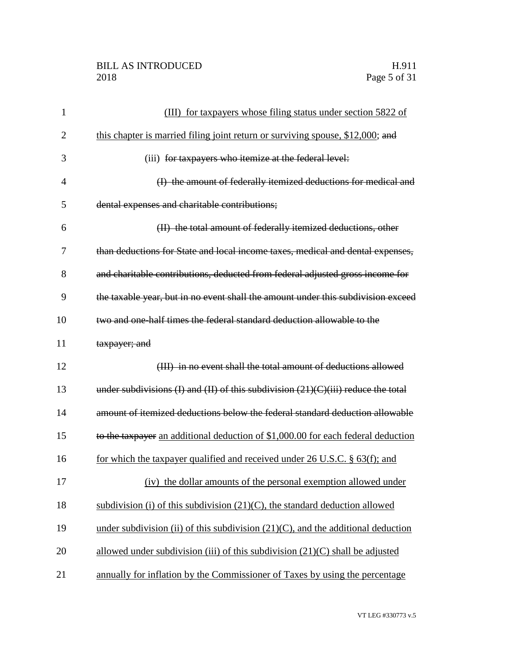| $\mathbf{1}$   | (III) for taxpayers whose filing status under section 5822 of                       |
|----------------|-------------------------------------------------------------------------------------|
| $\overline{2}$ | this chapter is married filing joint return or surviving spouse, \$12,000; and      |
| 3              | (iii) for taxpayers who itemize at the federal level:                               |
| $\overline{4}$ | (I) the amount of federally itemized deductions for medical and                     |
| 5              | dental expenses and charitable contributions;                                       |
| 6              | (II) the total amount of federally itemized deductions, other                       |
| 7              | than deductions for State and local income taxes, medical and dental expenses,      |
| 8              | and charitable contributions, deducted from federal adjusted gross income for       |
| 9              | the taxable year, but in no event shall the amount under this subdivision exceed    |
| 10             | two and one-half times the federal standard deduction allowable to the              |
| 11             | taxpayer; and                                                                       |
| 12             | (III) in no event shall the total amount of deductions allowed                      |
| 13             | under subdivisions (I) and (II) of this subdivision $(21)(C)(iii)$ reduce the total |
| 14             | amount of itemized deductions below the federal standard deduction allowable        |
| 15             | to the taxpayer an additional deduction of \$1,000.00 for each federal deduction    |
| 16             | for which the taxpayer qualified and received under 26 U.S.C. $\S$ 63(f); and       |
| 17             | (iv) the dollar amounts of the personal exemption allowed under                     |
| 18             | subdivision (i) of this subdivision $(21)(C)$ , the standard deduction allowed      |
| 19             | under subdivision (ii) of this subdivision $(21)(C)$ , and the additional deduction |
| 20             | allowed under subdivision (iii) of this subdivision $(21)(C)$ shall be adjusted     |
| 21             | annually for inflation by the Commissioner of Taxes by using the percentage         |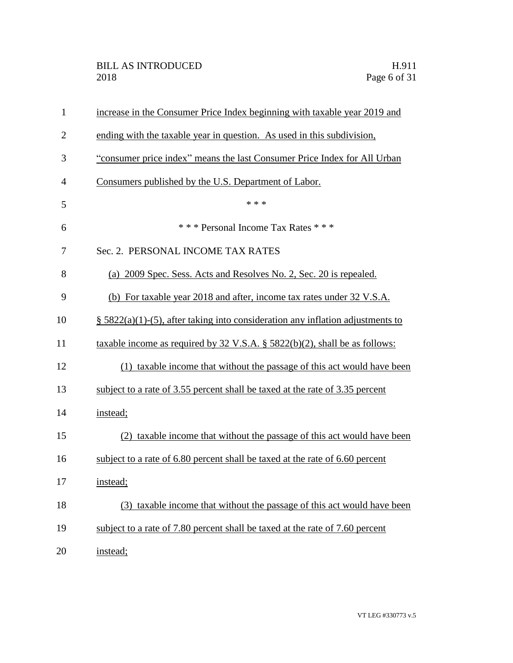| $\mathbf{1}$   | increase in the Consumer Price Index beginning with taxable year 2019 and         |
|----------------|-----------------------------------------------------------------------------------|
| $\overline{2}$ | ending with the taxable year in question. As used in this subdivision,            |
| 3              | "consumer price index" means the last Consumer Price Index for All Urban          |
| $\overline{4}$ | Consumers published by the U.S. Department of Labor.                              |
| 5              | * * *                                                                             |
| 6              | *** Personal Income Tax Rates ***                                                 |
| 7              | Sec. 2. PERSONAL INCOME TAX RATES                                                 |
| 8              | (a) 2009 Spec. Sess. Acts and Resolves No. 2, Sec. 20 is repealed.                |
| 9              | (b) For taxable year 2018 and after, income tax rates under 32 V.S.A.             |
| 10             | $\S$ 5822(a)(1)-(5), after taking into consideration any inflation adjustments to |
| 11             | taxable income as required by 32 V.S.A. $\S$ 5822(b)(2), shall be as follows:     |
| 12             | (1) taxable income that without the passage of this act would have been           |
| 13             | subject to a rate of 3.55 percent shall be taxed at the rate of 3.35 percent      |
| 14             | instead;                                                                          |
| 15             | (2) taxable income that without the passage of this act would have been           |
| 16             | subject to a rate of 6.80 percent shall be taxed at the rate of 6.60 percent      |
| 17             | instead;                                                                          |
| 18             | (3) taxable income that without the passage of this act would have been           |
| 19             | subject to a rate of 7.80 percent shall be taxed at the rate of 7.60 percent      |
| 20             | instead;                                                                          |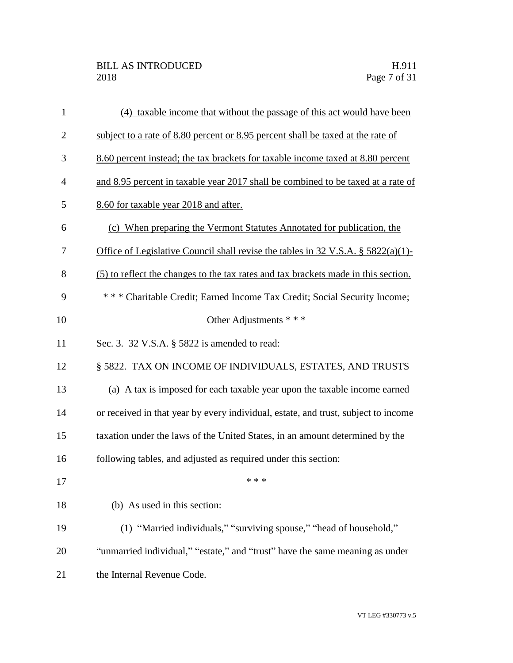| $\mathbf{1}$   | (4) taxable income that without the passage of this act would have been            |
|----------------|------------------------------------------------------------------------------------|
| $\overline{2}$ | subject to a rate of 8.80 percent or 8.95 percent shall be taxed at the rate of    |
| 3              | 8.60 percent instead; the tax brackets for taxable income taxed at 8.80 percent    |
| $\overline{4}$ | and 8.95 percent in taxable year 2017 shall be combined to be taxed at a rate of   |
| 5              | 8.60 for taxable year 2018 and after.                                              |
| 6              | (c) When preparing the Vermont Statutes Annotated for publication, the             |
| 7              | Office of Legislative Council shall revise the tables in 32 V.S.A. § 5822(a)(1)-   |
| 8              | (5) to reflect the changes to the tax rates and tax brackets made in this section. |
| 9              | *** Charitable Credit; Earned Income Tax Credit; Social Security Income;           |
| 10             | Other Adjustments * * *                                                            |
| 11             | Sec. 3. 32 V.S.A. § 5822 is amended to read:                                       |
| 12             | § 5822. TAX ON INCOME OF INDIVIDUALS, ESTATES, AND TRUSTS                          |
| 13             | (a) A tax is imposed for each taxable year upon the taxable income earned          |
| 14             | or received in that year by every individual, estate, and trust, subject to income |
| 15             | taxation under the laws of the United States, in an amount determined by the       |
| 16             | following tables, and adjusted as required under this section:                     |
| 17             | * * *                                                                              |
| 18             | (b) As used in this section:                                                       |
| 19             | (1) "Married individuals," "surviving spouse," "head of household,"                |
| 20             | "unmarried individual," "estate," and "trust" have the same meaning as under       |
| 21             | the Internal Revenue Code.                                                         |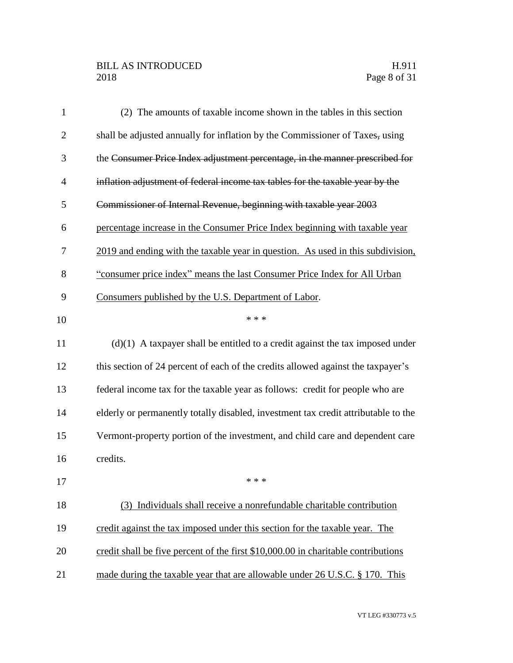### BILL AS INTRODUCED H.911<br>2018 Page 8 of 31

| $\mathbf{1}$   | (2) The amounts of taxable income shown in the tables in this section              |
|----------------|------------------------------------------------------------------------------------|
| $\overline{2}$ | shall be adjusted annually for inflation by the Commissioner of Taxes, using       |
| 3              | the Consumer Price Index adjustment percentage, in the manner prescribed for       |
| $\overline{4}$ | inflation adjustment of federal income tax tables for the taxable year by the      |
| 5              | Commissioner of Internal Revenue, beginning with taxable year 2003                 |
| 6              | percentage increase in the Consumer Price Index beginning with taxable year        |
| 7              | 2019 and ending with the taxable year in question. As used in this subdivision,    |
| 8              | "consumer price index" means the last Consumer Price Index for All Urban           |
| 9              | Consumers published by the U.S. Department of Labor.                               |
| 10             | * * *                                                                              |
| 11             | $(d)(1)$ A taxpayer shall be entitled to a credit against the tax imposed under    |
| 12             | this section of 24 percent of each of the credits allowed against the taxpayer's   |
| 13             | federal income tax for the taxable year as follows: credit for people who are      |
| 14             | elderly or permanently totally disabled, investment tax credit attributable to the |
| 15             | Vermont-property portion of the investment, and child care and dependent care      |
| 16             | credits.                                                                           |
| 17             | * * *                                                                              |
| 18             | Individuals shall receive a nonrefundable charitable contribution<br>(3)           |
| 19             | credit against the tax imposed under this section for the taxable year. The        |
| 20             | credit shall be five percent of the first \$10,000.00 in charitable contributions  |
| 21             | made during the taxable year that are allowable under 26 U.S.C. § 170. This        |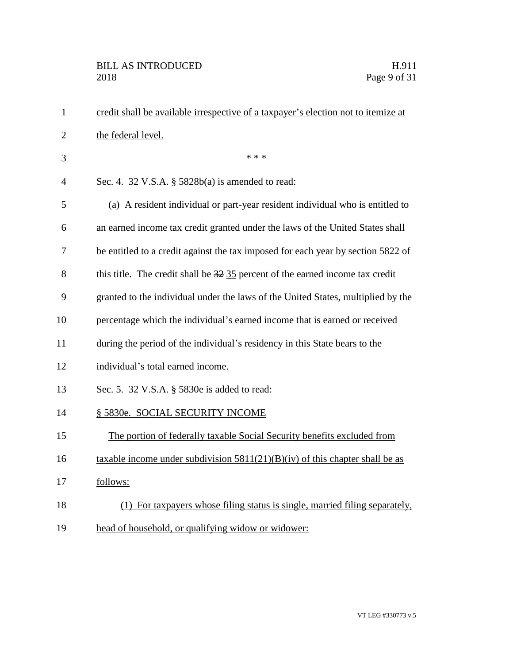| $\mathbf{1}$   | credit shall be available irrespective of a taxpayer's election not to itemize at |
|----------------|-----------------------------------------------------------------------------------|
| $\overline{2}$ | the federal level.                                                                |
| 3              | * * *                                                                             |
| $\overline{4}$ | Sec. 4. 32 V.S.A. § 5828b(a) is amended to read:                                  |
| 5              | (a) A resident individual or part-year resident individual who is entitled to     |
| 6              | an earned income tax credit granted under the laws of the United States shall     |
| 7              | be entitled to a credit against the tax imposed for each year by section 5822 of  |
| 8              | this title. The credit shall be 32 35 percent of the earned income tax credit     |
| 9              | granted to the individual under the laws of the United States, multiplied by the  |
| 10             | percentage which the individual's earned income that is earned or received        |
| 11             | during the period of the individual's residency in this State bears to the        |
| 12             | individual's total earned income.                                                 |
| 13             | Sec. 5. 32 V.S.A. § 5830e is added to read:                                       |
| 14             | § 5830e. SOCIAL SECURITY INCOME                                                   |
| 15             | The portion of federally taxable Social Security benefits excluded from           |
| 16             | taxable income under subdivision $5811(21)(B)(iv)$ of this chapter shall be as    |
| 17             | follows:                                                                          |
| 18             | (1) For taxpayers whose filing status is single, married filing separately,       |
| 19             | head of household, or qualifying widow or widower:                                |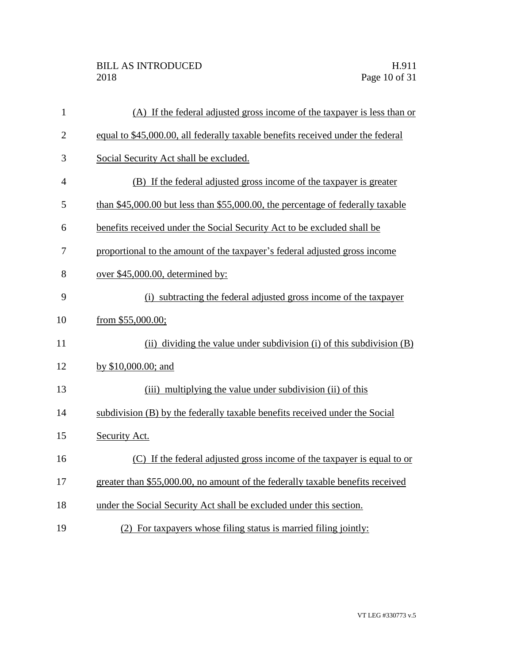| $\mathbf{1}$   | (A) If the federal adjusted gross income of the taxpayer is less than or        |
|----------------|---------------------------------------------------------------------------------|
| $\overline{2}$ | equal to \$45,000.00, all federally taxable benefits received under the federal |
| 3              | Social Security Act shall be excluded.                                          |
| $\overline{4}$ | (B) If the federal adjusted gross income of the taxpayer is greater             |
| 5              | than \$45,000.00 but less than \$55,000.00, the percentage of federally taxable |
| 6              | benefits received under the Social Security Act to be excluded shall be         |
| 7              | proportional to the amount of the taxpayer's federal adjusted gross income      |
| 8              | over \$45,000.00, determined by:                                                |
| 9              | (i) subtracting the federal adjusted gross income of the taxpayer               |
| 10             | from $$55,000.00;$                                                              |
| 11             | (ii) dividing the value under subdivision (i) of this subdivision (B)           |
| 12             | by \$10,000.00; and                                                             |
| 13             | (iii) multiplying the value under subdivision (ii) of this                      |
| 14             | subdivision (B) by the federally taxable benefits received under the Social     |
| 15             | Security Act.                                                                   |
| 16             | (C) If the federal adjusted gross income of the taxpayer is equal to or         |
| 17             | greater than \$55,000.00, no amount of the federally taxable benefits received  |
| 18             | under the Social Security Act shall be excluded under this section.             |
| 19             | (2) For taxpayers whose filing status is married filing jointly:                |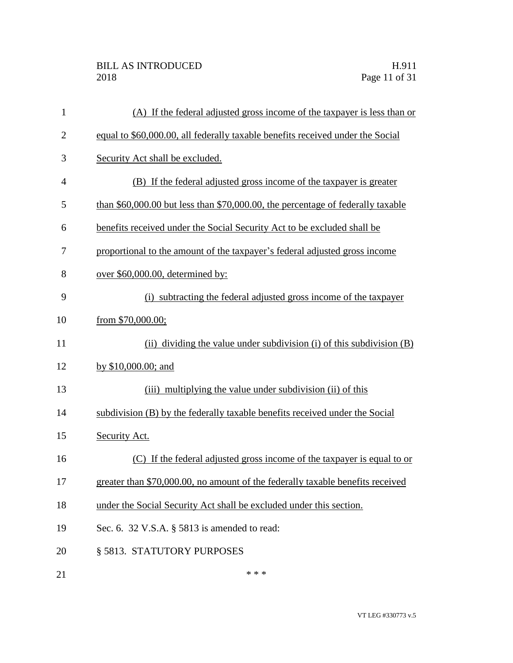| $\mathbf{1}$   | (A) If the federal adjusted gross income of the taxpayer is less than or           |
|----------------|------------------------------------------------------------------------------------|
| $\overline{2}$ | equal to \$60,000.00, all federally taxable benefits received under the Social     |
| 3              | Security Act shall be excluded.                                                    |
| $\overline{4}$ | (B) If the federal adjusted gross income of the taxpayer is greater                |
| 5              | than $$60,000.00$ but less than $$70,000.00$ , the percentage of federally taxable |
| 6              | benefits received under the Social Security Act to be excluded shall be            |
| 7              | proportional to the amount of the taxpayer's federal adjusted gross income         |
| 8              | over \$60,000.00, determined by:                                                   |
| 9              | (i) subtracting the federal adjusted gross income of the taxpayer                  |
| 10             | from \$70,000.00;                                                                  |
| 11             | (ii) dividing the value under subdivision (i) of this subdivision $(B)$            |
| 12             | by \$10,000.00; and                                                                |
| 13             | (iii) multiplying the value under subdivision (ii) of this                         |
| 14             | subdivision (B) by the federally taxable benefits received under the Social        |
| 15             | Security Act.                                                                      |
| 16             | If the federal adjusted gross income of the taxpayer is equal to or<br>(C)         |
| 17             | greater than \$70,000.00, no amount of the federally taxable benefits received     |
| 18             | under the Social Security Act shall be excluded under this section.                |
| 19             | Sec. 6. 32 V.S.A. § 5813 is amended to read:                                       |
| 20             | § 5813. STATUTORY PURPOSES                                                         |
|                |                                                                                    |

21  $***$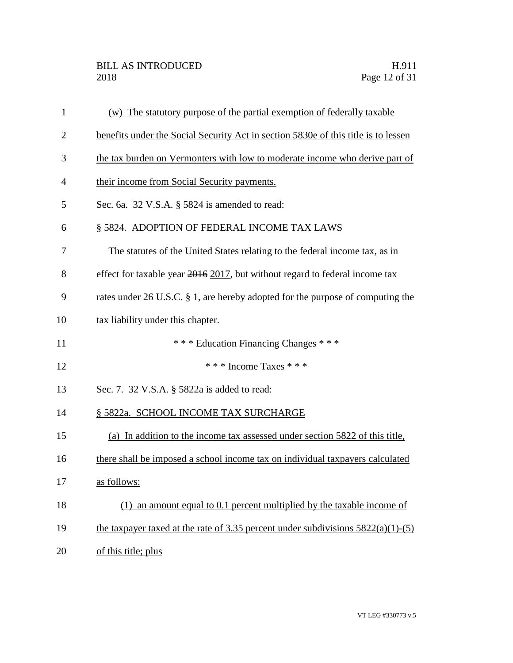| $\mathbf{1}$   | (w) The statutory purpose of the partial exemption of federally taxable            |
|----------------|------------------------------------------------------------------------------------|
| $\overline{c}$ | benefits under the Social Security Act in section 5830e of this title is to lessen |
| 3              | the tax burden on Vermonters with low to moderate income who derive part of        |
| 4              | their income from Social Security payments.                                        |
| 5              | Sec. 6a. 32 V.S.A. § 5824 is amended to read:                                      |
| 6              | § 5824. ADOPTION OF FEDERAL INCOME TAX LAWS                                        |
| 7              | The statutes of the United States relating to the federal income tax, as in        |
| 8              | effect for taxable year $2016$ $2017$ , but without regard to federal income tax   |
| 9              | rates under 26 U.S.C. § 1, are hereby adopted for the purpose of computing the     |
| 10             | tax liability under this chapter.                                                  |
| 11             | *** Education Financing Changes ***                                                |
| 12             | * * * Income Taxes * * *                                                           |
| 13             | Sec. 7. 32 V.S.A. § 5822a is added to read:                                        |
| 14             | § 5822a. SCHOOL INCOME TAX SURCHARGE                                               |
| 15             | (a) In addition to the income tax assessed under section 5822 of this title,       |
| 16             | there shall be imposed a school income tax on individual taxpayers calculated      |
| 17             | as follows:                                                                        |
| 18             | $(1)$ an amount equal to 0.1 percent multiplied by the taxable income of           |
| 19             | the taxpayer taxed at the rate of 3.35 percent under subdivisions $5822(a)(1)-(5)$ |
| 20             | of this title; plus                                                                |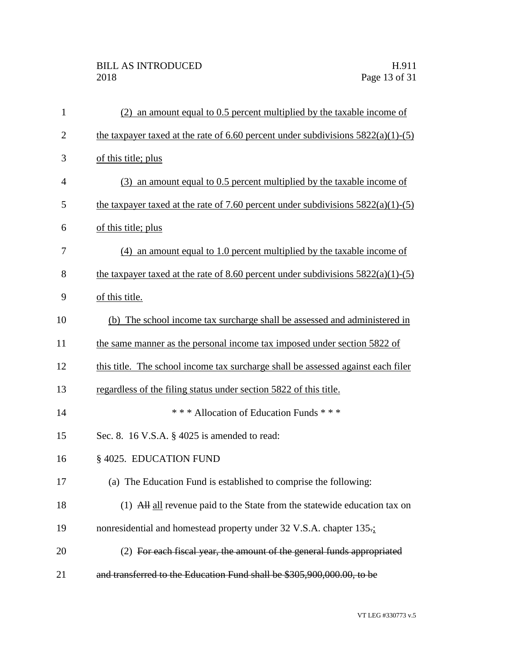# BILL AS INTRODUCED H.911<br>2018 Page 13 of 31

| $\mathbf{1}$   | an amount equal to 0.5 percent multiplied by the taxable income of                   |  |  |  |
|----------------|--------------------------------------------------------------------------------------|--|--|--|
| $\overline{2}$ | the taxpayer taxed at the rate of $6.60$ percent under subdivisions $5822(a)(1)-(5)$ |  |  |  |
| 3              | of this title; plus                                                                  |  |  |  |
| $\overline{4}$ | (3) an amount equal to 0.5 percent multiplied by the taxable income of               |  |  |  |
| 5              | the taxpayer taxed at the rate of 7.60 percent under subdivisions $5822(a)(1)-(5)$   |  |  |  |
| 6              | of this title; plus                                                                  |  |  |  |
| 7              | $(4)$ an amount equal to 1.0 percent multiplied by the taxable income of             |  |  |  |
| 8              | the taxpayer taxed at the rate of 8.60 percent under subdivisions $5822(a)(1)-(5)$   |  |  |  |
| 9              | of this title.                                                                       |  |  |  |
| 10             | (b) The school income tax surcharge shall be assessed and administered in            |  |  |  |
| 11             | the same manner as the personal income tax imposed under section 5822 of             |  |  |  |
| 12             | this title. The school income tax surcharge shall be assessed against each filer     |  |  |  |
| 13             | regardless of the filing status under section 5822 of this title.                    |  |  |  |
| 14             | *** Allocation of Education Funds ***                                                |  |  |  |
| 15             | Sec. 8. 16 V.S.A. § 4025 is amended to read:                                         |  |  |  |
| 16             | § 4025. EDUCATION FUND                                                               |  |  |  |
| 17             | (a) The Education Fund is established to comprise the following:                     |  |  |  |
| 18             | (1) All all revenue paid to the State from the statewide education tax on            |  |  |  |
| 19             | nonresidential and homestead property under 32 V.S.A. chapter 135.                   |  |  |  |
| 20             | (2) For each fiscal year, the amount of the general funds appropriated               |  |  |  |
| 21             | and transferred to the Education Fund shall be \$305,900,000.00, to be               |  |  |  |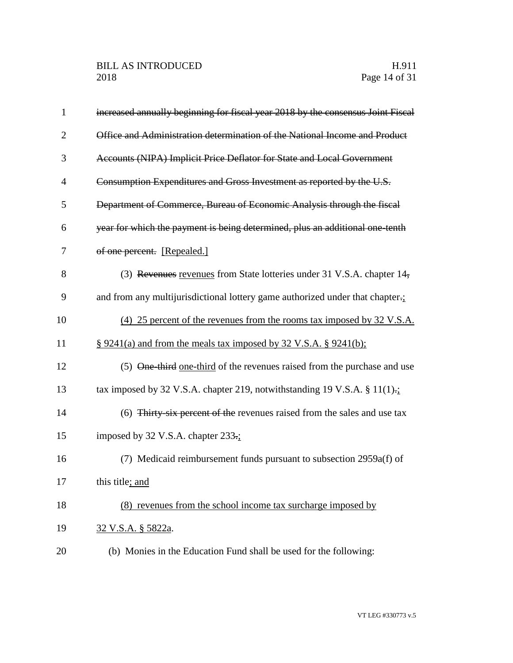| $\mathbf{1}$   | increased annually beginning for fiscal year 2018 by the consensus Joint Fiscal |  |
|----------------|---------------------------------------------------------------------------------|--|
| $\overline{2}$ | Office and Administration determination of the National Income and Product      |  |
| 3              | Accounts (NIPA) Implicit Price Deflator for State and Local Government          |  |
| 4              | Consumption Expenditures and Gross Investment as reported by the U.S.           |  |
| 5              | Department of Commerce, Bureau of Economic Analysis through the fiscal          |  |
| 6              | year for which the payment is being determined, plus an additional one-tenth    |  |
| 7              | of one percent. [Repealed.]                                                     |  |
| 8              | (3) Revenues revenues from State lotteries under 31 V.S.A. chapter 14,          |  |
| 9              | and from any multijurisdictional lottery game authorized under that chapter.    |  |
| 10             | (4) 25 percent of the revenues from the rooms tax imposed by 32 V.S.A.          |  |
| 11             | $\S$ 9241(a) and from the meals tax imposed by 32 V.S.A. § 9241(b);             |  |
| 12             | (5) One-third one-third of the revenues raised from the purchase and use        |  |
| 13             | tax imposed by 32 V.S.A. chapter 219, notwithstanding 19 V.S.A. § $11(1)$ .     |  |
| 14             | (6) Thirty-six percent of the revenues raised from the sales and use tax        |  |
| 15             | imposed by 32 V.S.A. chapter 233.;                                              |  |
| 16             | (7) Medicaid reimbursement funds pursuant to subsection 2959a(f) of             |  |
| 17             | this title; and                                                                 |  |
| 18             | (8) revenues from the school income tax surcharge imposed by                    |  |
| 19             | 32 V.S.A. § 5822a.                                                              |  |
| 20             | (b) Monies in the Education Fund shall be used for the following:               |  |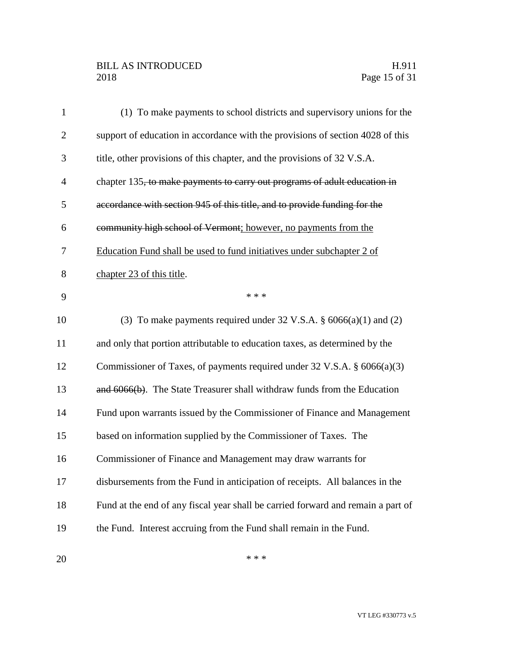# BILL AS INTRODUCED H.911<br>2018 Page 15 of 31

| $\mathbf{1}$   | (1) To make payments to school districts and supervisory unions for the          |
|----------------|----------------------------------------------------------------------------------|
| $\overline{2}$ | support of education in accordance with the provisions of section 4028 of this   |
| 3              | title, other provisions of this chapter, and the provisions of 32 V.S.A.         |
| $\overline{4}$ | chapter 135, to make payments to carry out programs of adult education in        |
| 5              | accordance with section 945 of this title, and to provide funding for the        |
| 6              | community high school of Vermont; however, no payments from the                  |
| $\overline{7}$ | Education Fund shall be used to fund initiatives under subchapter 2 of           |
| 8              | chapter 23 of this title.                                                        |
| 9              | * * *                                                                            |
| 10             | (3) To make payments required under 32 V.S.A. $\S$ 6066(a)(1) and (2)            |
| 11             | and only that portion attributable to education taxes, as determined by the      |
| 12             | Commissioner of Taxes, of payments required under 32 V.S.A. $\S$ 6066(a)(3)      |
| 13             | and 6066(b). The State Treasurer shall withdraw funds from the Education         |
| 14             | Fund upon warrants issued by the Commissioner of Finance and Management          |
| 15             | based on information supplied by the Commissioner of Taxes. The                  |
| 16             | Commissioner of Finance and Management may draw warrants for                     |
| 17             | disbursements from the Fund in anticipation of receipts. All balances in the     |
| 18             | Fund at the end of any fiscal year shall be carried forward and remain a part of |
| 19             | the Fund. Interest accruing from the Fund shall remain in the Fund.              |
|                |                                                                                  |

 $***$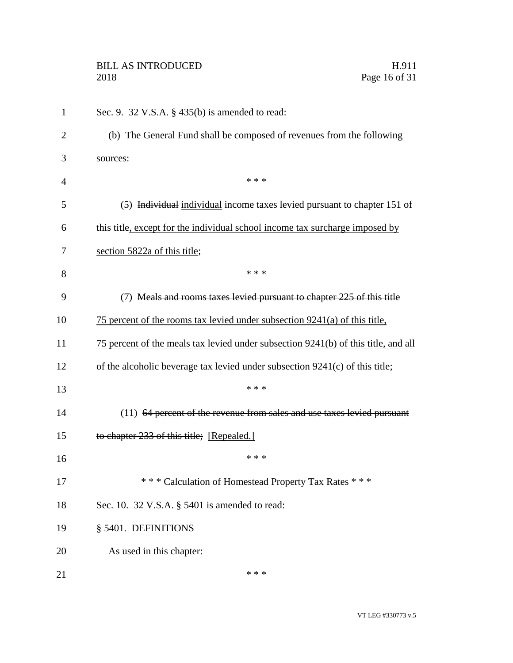# BILL AS INTRODUCED H.911<br>2018 Page 16 of 31

| $\mathbf{1}$   | Sec. 9. 32 V.S.A. $\S$ 435(b) is amended to read:                                  |  |
|----------------|------------------------------------------------------------------------------------|--|
| 2              | (b) The General Fund shall be composed of revenues from the following              |  |
| 3              | sources:                                                                           |  |
| $\overline{4}$ | * * *                                                                              |  |
| 5              | (5) Individual individual income taxes levied pursuant to chapter 151 of           |  |
| 6              | this title, except for the individual school income tax surcharge imposed by       |  |
| 7              | section 5822a of this title;                                                       |  |
| 8              | * * *                                                                              |  |
| 9              | (7) Meals and rooms taxes levied pursuant to chapter 225 of this title             |  |
| 10             | 75 percent of the rooms tax levied under subsection $9241(a)$ of this title,       |  |
| 11             | 75 percent of the meals tax levied under subsection 9241(b) of this title, and all |  |
| 12             | of the alcoholic beverage tax levied under subsection 9241(c) of this title;       |  |
| 13             | * * *                                                                              |  |
| 14             | (11) 64 percent of the revenue from sales and use taxes levied pursuant            |  |
| 15             | to chapter 233 of this title; [Repealed.]                                          |  |
| 16             | * * *                                                                              |  |
| 17             | *** Calculation of Homestead Property Tax Rates ***                                |  |
| 18             | Sec. 10. 32 V.S.A. § 5401 is amended to read:                                      |  |
| 19             | § 5401. DEFINITIONS                                                                |  |
| 20             | As used in this chapter:                                                           |  |
| 21             | * * *                                                                              |  |

Page 16 of 31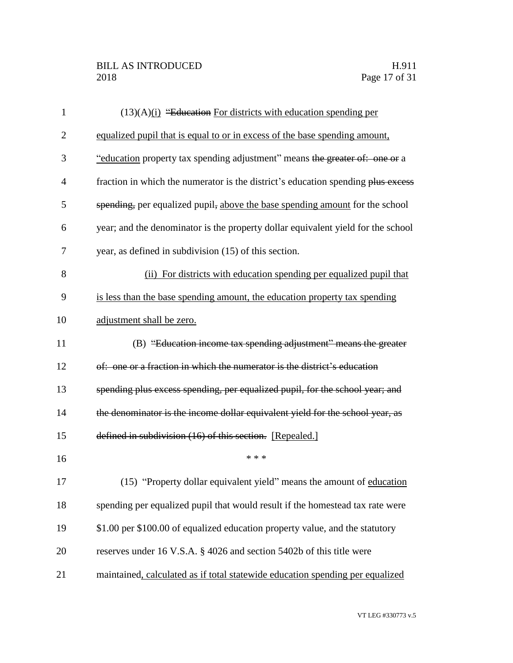| $\mathbf{1}$   | $(13)(A)(i)$ "Education For districts with education spending per                |  |  |  |
|----------------|----------------------------------------------------------------------------------|--|--|--|
| $\overline{2}$ | equalized pupil that is equal to or in excess of the base spending amount,       |  |  |  |
| 3              | "education property tax spending adjustment" means the greater of: one or a      |  |  |  |
| 4              | fraction in which the numerator is the district's education spending plus excess |  |  |  |
| 5              | spending, per equalized pupil, above the base spending amount for the school     |  |  |  |
| 6              | year; and the denominator is the property dollar equivalent yield for the school |  |  |  |
| 7              | year, as defined in subdivision (15) of this section.                            |  |  |  |
| 8              | (ii) For districts with education spending per equalized pupil that              |  |  |  |
| 9              | is less than the base spending amount, the education property tax spending       |  |  |  |
| 10             | adjustment shall be zero.                                                        |  |  |  |
| 11             | (B) "Education income tax spending adjustment" means the greater                 |  |  |  |
| 12             | of: one or a fraction in which the numerator is the district's education         |  |  |  |
| 13             | spending plus excess spending, per equalized pupil, for the school year; and     |  |  |  |
| 14             | the denominator is the income dollar equivalent yield for the school year, as    |  |  |  |
| 15             | defined in subdivision (16) of this section. [Repealed.]                         |  |  |  |
| 16             | * * *                                                                            |  |  |  |
| 17             | (15) "Property dollar equivalent yield" means the amount of education            |  |  |  |
| 18             | spending per equalized pupil that would result if the homestead tax rate were    |  |  |  |
| 19             | \$1.00 per \$100.00 of equalized education property value, and the statutory     |  |  |  |
| 20             | reserves under 16 V.S.A. § 4026 and section 5402b of this title were             |  |  |  |
| 21             | maintained, calculated as if total statewide education spending per equalized    |  |  |  |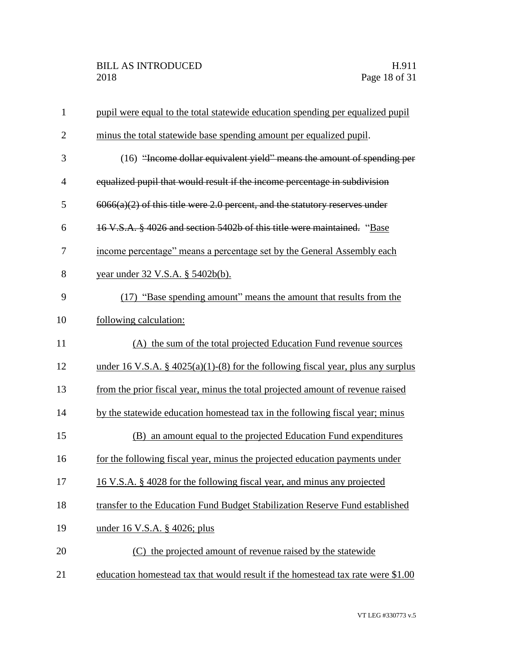| $\mathbf{1}$   | pupil were equal to the total statewide education spending per equalized pupil      |  |  |
|----------------|-------------------------------------------------------------------------------------|--|--|
| $\overline{2}$ | minus the total statewide base spending amount per equalized pupil.                 |  |  |
| 3              | (16) "Income dollar equivalent yield" means the amount of spending per              |  |  |
| $\overline{4}$ | equalized pupil that would result if the income percentage in subdivision           |  |  |
| 5              | $6066(a)(2)$ of this title were 2.0 percent, and the statutory reserves under       |  |  |
| 6              | 16 V.S.A. § 4026 and section 5402b of this title were maintained. "Base             |  |  |
| 7              | income percentage" means a percentage set by the General Assembly each              |  |  |
| 8              | year under 32 V.S.A. § 5402b(b).                                                    |  |  |
| 9              | (17) "Base spending amount" means the amount that results from the                  |  |  |
| 10             | following calculation:                                                              |  |  |
| 11             | (A) the sum of the total projected Education Fund revenue sources                   |  |  |
| 12             | under 16 V.S.A. $\S$ 4025(a)(1)-(8) for the following fiscal year, plus any surplus |  |  |
| 13             | from the prior fiscal year, minus the total projected amount of revenue raised      |  |  |
| 14             | by the statewide education homestead tax in the following fiscal year; minus        |  |  |
| 15             | an amount equal to the projected Education Fund expenditures<br>(B)                 |  |  |
| 16             | for the following fiscal year, minus the projected education payments under         |  |  |
| 17             | 16 V.S.A. § 4028 for the following fiscal year, and minus any projected             |  |  |
| 18             | transfer to the Education Fund Budget Stabilization Reserve Fund established        |  |  |
| 19             | <u>under 16 V.S.A. § 4026; plus</u>                                                 |  |  |
| 20             | (C) the projected amount of revenue raised by the statewide                         |  |  |
| 21             | education homestead tax that would result if the homestead tax rate were \$1.00     |  |  |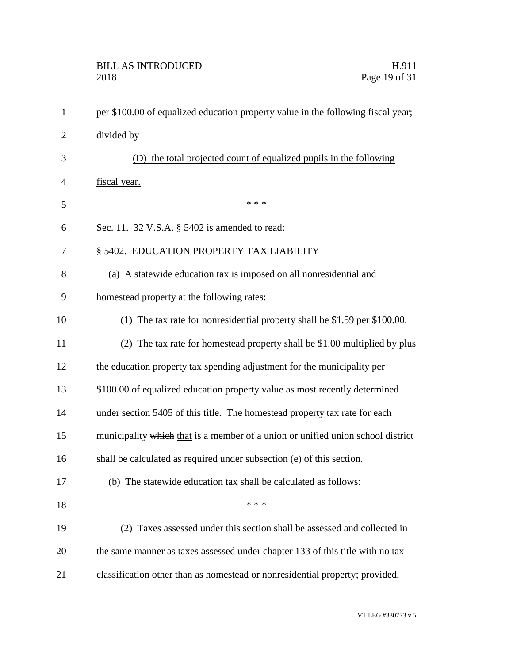| $\mathbf{1}$   | per \$100.00 of equalized education property value in the following fiscal year; |  |  |  |
|----------------|----------------------------------------------------------------------------------|--|--|--|
| 2              | divided by                                                                       |  |  |  |
| 3              | the total projected count of equalized pupils in the following<br>(1)            |  |  |  |
| $\overline{4}$ | fiscal year.                                                                     |  |  |  |
| 5              | * * *                                                                            |  |  |  |
| 6              | Sec. 11. 32 V.S.A. § 5402 is amended to read:                                    |  |  |  |
| 7              | § 5402. EDUCATION PROPERTY TAX LIABILITY                                         |  |  |  |
| 8              | (a) A statewide education tax is imposed on all nonresidential and               |  |  |  |
| 9              | homestead property at the following rates:                                       |  |  |  |
| 10             | (1) The tax rate for nonresidential property shall be \$1.59 per \$100.00.       |  |  |  |
| 11             | (2) The tax rate for homestead property shall be $$1.00$ multiplied by plus      |  |  |  |
| 12             | the education property tax spending adjustment for the municipality per          |  |  |  |
| 13             | \$100.00 of equalized education property value as most recently determined       |  |  |  |
| 14             | under section 5405 of this title. The homestead property tax rate for each       |  |  |  |
| 15             | municipality which that is a member of a union or unified union school district  |  |  |  |
| 16             | shall be calculated as required under subsection (e) of this section.            |  |  |  |
| 17             | (b) The statewide education tax shall be calculated as follows:                  |  |  |  |
| 18             | * * *                                                                            |  |  |  |
| 19             | (2) Taxes assessed under this section shall be assessed and collected in         |  |  |  |
| 20             | the same manner as taxes assessed under chapter 133 of this title with no tax    |  |  |  |
| 21             | classification other than as homestead or nonresidential property; provided,     |  |  |  |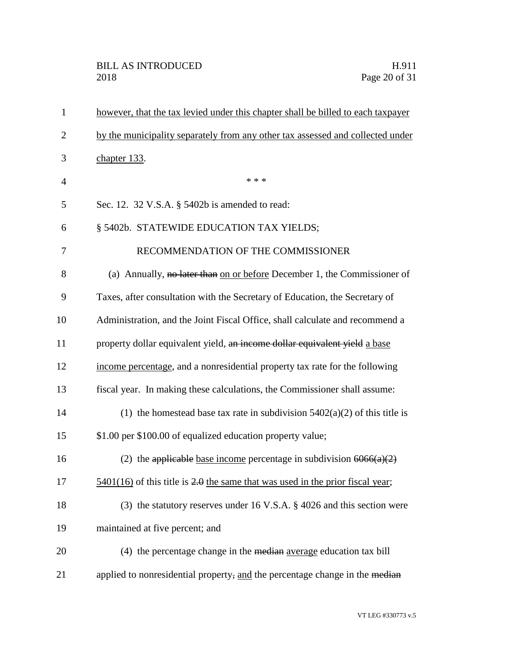| however, that the tax levied under this chapter shall be billed to each taxpayer            |  |  |  |
|---------------------------------------------------------------------------------------------|--|--|--|
| by the municipality separately from any other tax assessed and collected under              |  |  |  |
| chapter 133.                                                                                |  |  |  |
| * * *                                                                                       |  |  |  |
| Sec. 12. 32 V.S.A. § 5402b is amended to read:                                              |  |  |  |
| § 5402b. STATEWIDE EDUCATION TAX YIELDS;                                                    |  |  |  |
| RECOMMENDATION OF THE COMMISSIONER                                                          |  |  |  |
| (a) Annually, no later than on or before December 1, the Commissioner of                    |  |  |  |
| Taxes, after consultation with the Secretary of Education, the Secretary of                 |  |  |  |
| Administration, and the Joint Fiscal Office, shall calculate and recommend a                |  |  |  |
| property dollar equivalent yield, an income dollar equivalent yield a base                  |  |  |  |
| income percentage, and a nonresidential property tax rate for the following                 |  |  |  |
| fiscal year. In making these calculations, the Commissioner shall assume:                   |  |  |  |
| (1) the homestead base tax rate in subdivision $5402(a)(2)$ of this title is                |  |  |  |
| \$1.00 per \$100.00 of equalized education property value;                                  |  |  |  |
| (2) the applicable base income percentage in subdivision $6066(a)(2)$                       |  |  |  |
| $\frac{5401(16)}{20}$ of this title is 2.0 the same that was used in the prior fiscal year; |  |  |  |
| (3) the statutory reserves under 16 V.S.A. $\S$ 4026 and this section were                  |  |  |  |
| maintained at five percent; and                                                             |  |  |  |
| (4) the percentage change in the median average education tax bill                          |  |  |  |
| applied to nonresidential property, and the percentage change in the median                 |  |  |  |
|                                                                                             |  |  |  |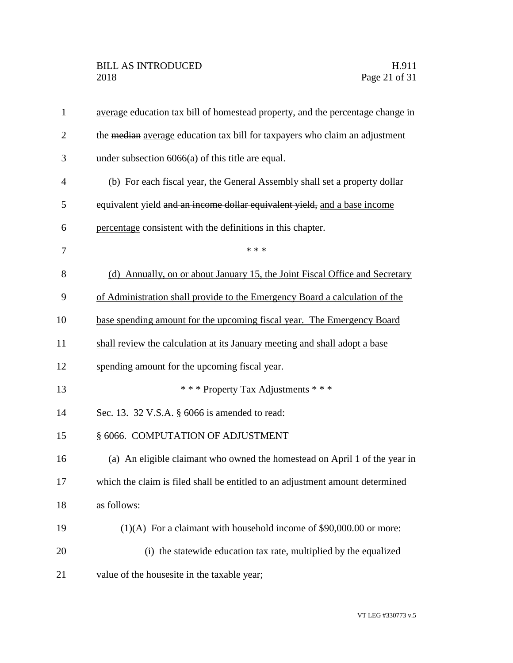| $\mathbf{1}$   | average education tax bill of homestead property, and the percentage change in |  |  |  |
|----------------|--------------------------------------------------------------------------------|--|--|--|
| $\overline{2}$ | the median average education tax bill for taxpayers who claim an adjustment    |  |  |  |
| 3              | under subsection $6066(a)$ of this title are equal.                            |  |  |  |
| 4              | (b) For each fiscal year, the General Assembly shall set a property dollar     |  |  |  |
| 5              | equivalent yield and an income dollar equivalent yield, and a base income      |  |  |  |
| 6              | percentage consistent with the definitions in this chapter.                    |  |  |  |
| 7              | * * *                                                                          |  |  |  |
| 8              | (d) Annually, on or about January 15, the Joint Fiscal Office and Secretary    |  |  |  |
| 9              | of Administration shall provide to the Emergency Board a calculation of the    |  |  |  |
| 10             | base spending amount for the upcoming fiscal year. The Emergency Board         |  |  |  |
| 11             | shall review the calculation at its January meeting and shall adopt a base     |  |  |  |
| 12             | spending amount for the upcoming fiscal year.                                  |  |  |  |
| 13             | *** Property Tax Adjustments ***                                               |  |  |  |
| 14             | Sec. 13. 32 V.S.A. § 6066 is amended to read:                                  |  |  |  |
| 15             | § 6066. COMPUTATION OF ADJUSTMENT                                              |  |  |  |
| 16             | (a) An eligible claimant who owned the homestead on April 1 of the year in     |  |  |  |
| 17             | which the claim is filed shall be entitled to an adjustment amount determined  |  |  |  |
| 18             | as follows:                                                                    |  |  |  |
| 19             | $(1)(A)$ For a claimant with household income of \$90,000.00 or more:          |  |  |  |
| 20             | (i) the statewide education tax rate, multiplied by the equalized              |  |  |  |
| 21             | value of the housesite in the taxable year;                                    |  |  |  |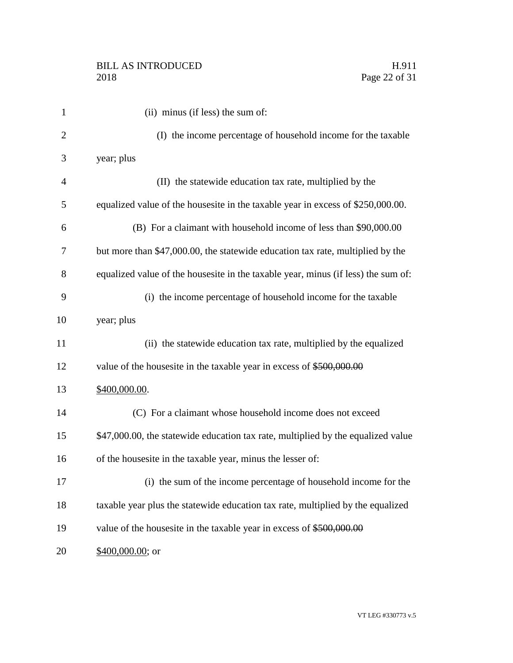| $\mathbf{1}$   | (ii) minus (if less) the sum of:                                                  |
|----------------|-----------------------------------------------------------------------------------|
| $\overline{2}$ | (I) the income percentage of household income for the taxable                     |
| 3              | year; plus                                                                        |
| $\overline{4}$ | (II) the statewide education tax rate, multiplied by the                          |
| 5              | equalized value of the housesite in the taxable year in excess of \$250,000.00.   |
| 6              | (B) For a claimant with household income of less than \$90,000.00                 |
| 7              | but more than \$47,000.00, the statewide education tax rate, multiplied by the    |
| 8              | equalized value of the housesite in the taxable year, minus (if less) the sum of: |
| 9              | (i) the income percentage of household income for the taxable                     |
| 10             | year; plus                                                                        |
| 11             | (ii) the statewide education tax rate, multiplied by the equalized                |
| 12             | value of the housesite in the taxable year in excess of \$500,000.00              |
| 13             | \$400,000.00.                                                                     |
| 14             | (C) For a claimant whose household income does not exceed                         |
| 15             | \$47,000.00, the statewide education tax rate, multiplied by the equalized value  |
| 16             | of the housesite in the taxable year, minus the lesser of:                        |
| 17             | (i) the sum of the income percentage of household income for the                  |
| 18             | taxable year plus the statewide education tax rate, multiplied by the equalized   |
| 19             | value of the housesite in the taxable year in excess of \$500,000.00              |
| 20             | \$400,000.00; or                                                                  |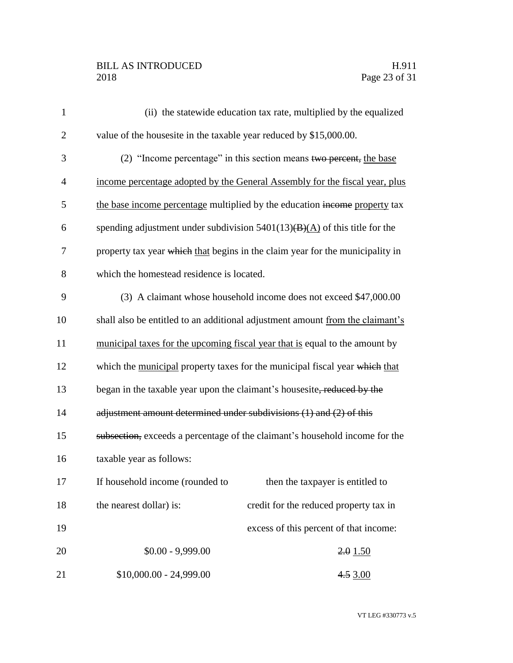# BILL AS INTRODUCED H.911<br>2018 Page 23 of 31

| $\mathbf{1}$   | (ii) the statewide education tax rate, multiplied by the equalized            |  |  |  |
|----------------|-------------------------------------------------------------------------------|--|--|--|
| $\overline{2}$ | value of the housesite in the taxable year reduced by \$15,000.00.            |  |  |  |
| 3              | (2) "Income percentage" in this section means two percent, the base           |  |  |  |
| 4              | income percentage adopted by the General Assembly for the fiscal year, plus   |  |  |  |
| 5              | the base income percentage multiplied by the education income property tax    |  |  |  |
| 6              | spending adjustment under subdivision $5401(13)(B)(A)$ of this title for the  |  |  |  |
| 7              | property tax year which that begins in the claim year for the municipality in |  |  |  |
| 8              | which the homestead residence is located.                                     |  |  |  |
| 9              | (3) A claimant whose household income does not exceed \$47,000.00             |  |  |  |
| 10             | shall also be entitled to an additional adjustment amount from the claimant's |  |  |  |
| 11             | municipal taxes for the upcoming fiscal year that is equal to the amount by   |  |  |  |
| 12             | which the municipal property taxes for the municipal fiscal year which that   |  |  |  |
| 13             | began in the taxable year upon the claimant's housesite, reduced by the       |  |  |  |
| 14             | adjustment amount determined under subdivisions (1) and (2) of this           |  |  |  |
| 15             | subsection, exceeds a percentage of the claimant's household income for the   |  |  |  |
| 16             | taxable year as follows:                                                      |  |  |  |
| 17             | If household income (rounded to<br>then the taxpayer is entitled to           |  |  |  |
| 18             | the nearest dollar) is:<br>credit for the reduced property tax in             |  |  |  |
| 19             | excess of this percent of that income:                                        |  |  |  |
| 20             | $$0.00 - 9,999.00$<br>2.01.50                                                 |  |  |  |
| 21             | $$10,000.00 - 24,999.00$<br>4.53.00                                           |  |  |  |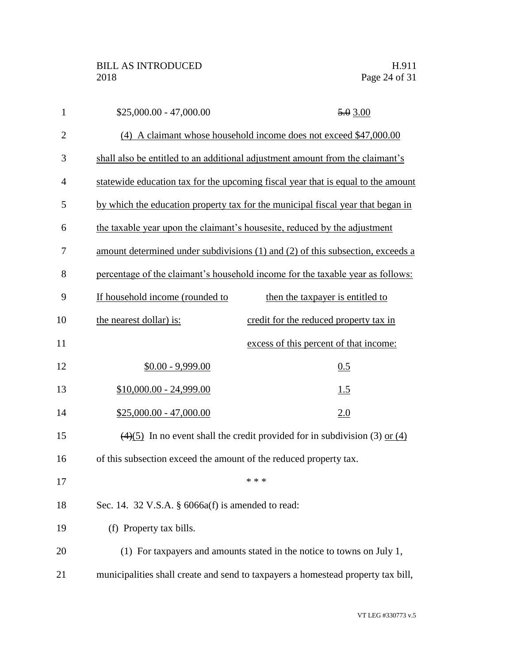| $\mathbf{1}$   | $$25,000.00 - 47,000.00$        | 5.03.00                                                                                        |  |  |
|----------------|---------------------------------|------------------------------------------------------------------------------------------------|--|--|
| $\mathbf{2}$   |                                 | (4) A claimant whose household income does not exceed \$47,000.00                              |  |  |
| 3              |                                 | shall also be entitled to an additional adjustment amount from the claimant's                  |  |  |
| $\overline{4}$ |                                 | statewide education tax for the upcoming fiscal year that is equal to the amount               |  |  |
| 5              |                                 | by which the education property tax for the municipal fiscal year that began in                |  |  |
| 6              |                                 | the taxable year upon the claimant's housesite, reduced by the adjustment                      |  |  |
| 7              |                                 | amount determined under subdivisions (1) and (2) of this subsection, exceeds a                 |  |  |
| 8              |                                 | percentage of the claimant's household income for the taxable year as follows:                 |  |  |
| 9              | If household income (rounded to | then the taxpayer is entitled to                                                               |  |  |
| 10             | the nearest dollar) is:         | credit for the reduced property tax in                                                         |  |  |
| 11             |                                 | excess of this percent of that income:                                                         |  |  |
| 12             | $$0.00 - 9,999.00$              | 0.5                                                                                            |  |  |
| 13             | $$10,000.00 - 24,999.00$        | 1.5                                                                                            |  |  |
| 14             | $$25,000.00 - 47,000.00$        | 2.0                                                                                            |  |  |
| 15             |                                 | $\left(\frac{4}{5}\right)$ In no event shall the credit provided for in subdivision (3) or (4) |  |  |
| 16             |                                 | of this subsection exceed the amount of the reduced property tax.                              |  |  |
| 17             |                                 | * * *                                                                                          |  |  |
| 18             |                                 | Sec. 14. 32 V.S.A. $\S$ 6066a(f) is amended to read:                                           |  |  |
| 19             | (f) Property tax bills.         |                                                                                                |  |  |
| 20             |                                 | (1) For taxpayers and amounts stated in the notice to towns on July 1,                         |  |  |
| 21             |                                 | municipalities shall create and send to taxpayers a homestead property tax bill,               |  |  |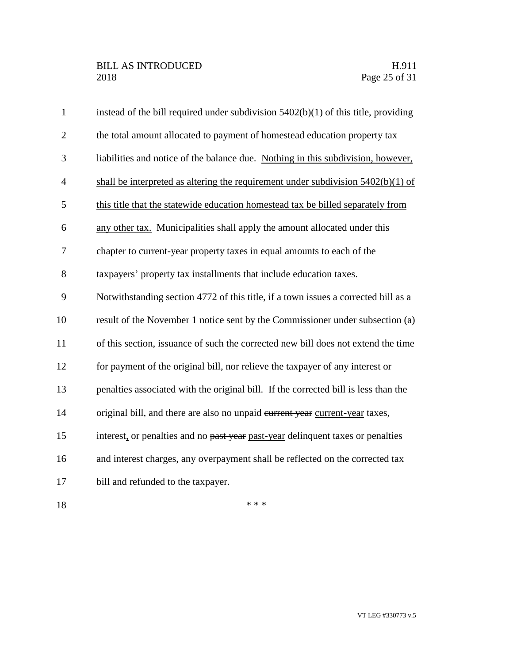| $\mathbf{1}$   | instead of the bill required under subdivision $5402(b)(1)$ of this title, providing |
|----------------|--------------------------------------------------------------------------------------|
| $\overline{2}$ | the total amount allocated to payment of homestead education property tax            |
| 3              | liabilities and notice of the balance due. Nothing in this subdivision, however,     |
| $\overline{4}$ | shall be interpreted as altering the requirement under subdivision $5402(b)(1)$ of   |
| 5              | this title that the statewide education homestead tax be billed separately from      |
| 6              | any other tax. Municipalities shall apply the amount allocated under this            |
| 7              | chapter to current-year property taxes in equal amounts to each of the               |
| 8              | taxpayers' property tax installments that include education taxes.                   |
| 9              | Notwithstanding section 4772 of this title, if a town issues a corrected bill as a   |
| 10             | result of the November 1 notice sent by the Commissioner under subsection (a)        |
| 11             | of this section, issuance of such the corrected new bill does not extend the time    |
| 12             | for payment of the original bill, nor relieve the taxpayer of any interest or        |
| 13             | penalties associated with the original bill. If the corrected bill is less than the  |
| 14             | original bill, and there are also no unpaid eurrent year current-year taxes,         |
| 15             | interest, or penalties and no past year past-year delinquent taxes or penalties      |
| 16             | and interest charges, any overpayment shall be reflected on the corrected tax        |
| 17             | bill and refunded to the taxpayer.                                                   |
| 18             | * * *                                                                                |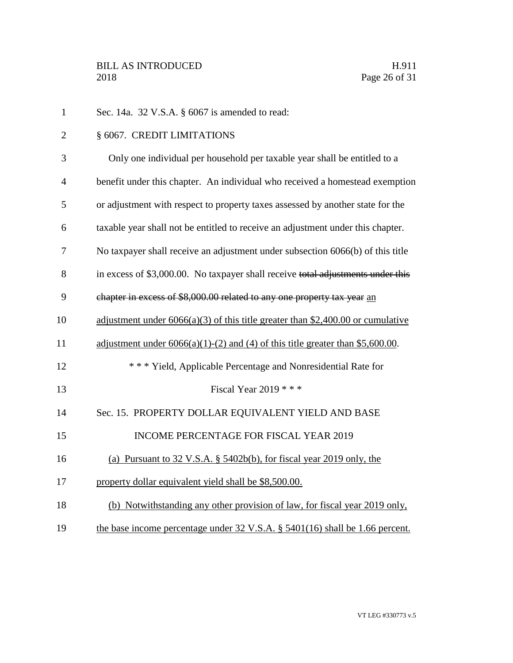Sec. 14a. 32 V.S.A. § 6067 is amended to read: § 6067. CREDIT LIMITATIONS Only one individual per household per taxable year shall be entitled to a benefit under this chapter. An individual who received a homestead exemption or adjustment with respect to property taxes assessed by another state for the taxable year shall not be entitled to receive an adjustment under this chapter. No taxpayer shall receive an adjustment under subsection 6066(b) of this title 8 in excess of \$3,000.00. No taxpayer shall receive total adjustments under this chapter in excess of \$8,000.00 related to any one property tax year an adjustment under 6066(a)(3) of this title greater than \$2,400.00 or cumulative 11 adjustment under  $6066(a)(1)-(2)$  and (4) of this title greater than \$5,600.00. \* \* \* Yield, Applicable Percentage and Nonresidential Rate for Fiscal Year 2019 \* \* \* Sec. 15. PROPERTY DOLLAR EQUIVALENT YIELD AND BASE 15 INCOME PERCENTAGE FOR FISCAL YEAR 2019 (a) Pursuant to 32 V.S.A. § 5402b(b), for fiscal year 2019 only, the 17 property dollar equivalent yield shall be \$8,500.00. (b) Notwithstanding any other provision of law, for fiscal year 2019 only, 19 the base income percentage under 32 V.S.A. § 5401(16) shall be 1.66 percent.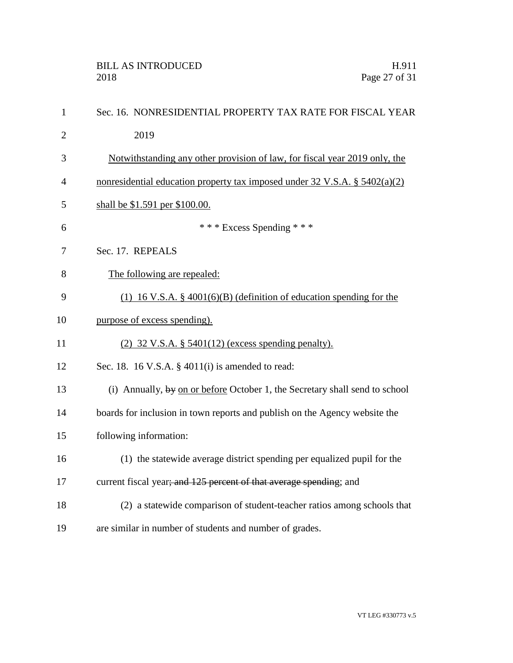| $\mathbf{1}$   | Sec. 16. NONRESIDENTIAL PROPERTY TAX RATE FOR FISCAL YEAR                   |
|----------------|-----------------------------------------------------------------------------|
| $\overline{2}$ | 2019                                                                        |
| 3              | Notwithstanding any other provision of law, for fiscal year 2019 only, the  |
| $\overline{4}$ | nonresidential education property tax imposed under 32 V.S.A. § 5402(a)(2)  |
| 5              | shall be \$1.591 per \$100.00.                                              |
| 6              | *** Excess Spending ***                                                     |
| 7              | Sec. 17. REPEALS                                                            |
| 8              | The following are repealed:                                                 |
| 9              | $(1)$ 16 V.S.A. § 4001(6)(B) (definition of education spending for the      |
| 10             | purpose of excess spending).                                                |
| 11             | $(2)$ 32 V.S.A. § 5401(12) (excess spending penalty).                       |
| 12             | Sec. 18. 16 V.S.A. $\S$ 4011(i) is amended to read:                         |
| 13             | (i) Annually, by on or before October 1, the Secretary shall send to school |
| 14             | boards for inclusion in town reports and publish on the Agency website the  |
| 15             | following information:                                                      |
| 16             | (1) the statewide average district spending per equalized pupil for the     |
| 17             | current fiscal year; and 125 percent of that average spending; and          |
| 18             | (2) a statewide comparison of student-teacher ratios among schools that     |
| 19             | are similar in number of students and number of grades.                     |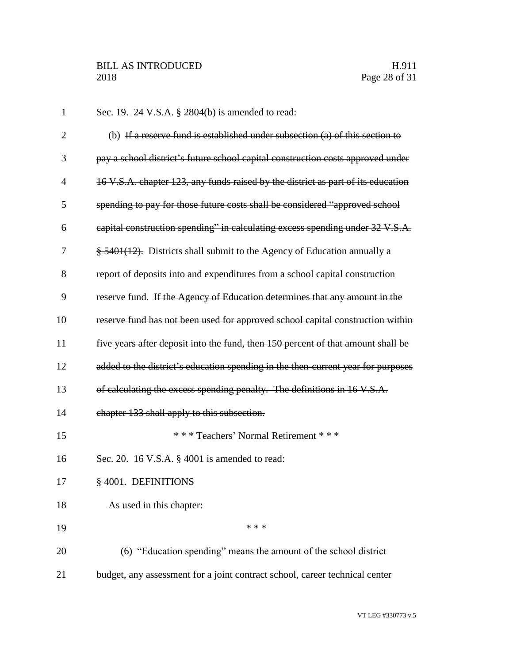| $\mathbf{1}$   | Sec. 19. 24 V.S.A. § 2804(b) is amended to read:                                 |
|----------------|----------------------------------------------------------------------------------|
| $\overline{2}$ | (b) If a reserve fund is established under subsection (a) of this section to     |
| 3              | pay a school district's future school capital construction costs approved under  |
| $\overline{4}$ | 16 V.S.A. chapter 123, any funds raised by the district as part of its education |
| 5              | spending to pay for those future costs shall be considered "approved school      |
| 6              | eapital construction spending" in calculating excess spending under 32 V.S.A.    |
| 7              | § 5401(12). Districts shall submit to the Agency of Education annually a         |
| 8              | report of deposits into and expenditures from a school capital construction      |
| 9              | reserve fund. If the Agency of Education determines that any amount in the       |
| 10             | reserve fund has not been used for approved school capital construction within   |
| 11             | five years after deposit into the fund, then 150 percent of that amount shall be |
| 12             | added to the district's education spending in the then-current year for purposes |
| 13             | of calculating the excess spending penalty. The definitions in 16 V.S.A.         |
| 14             | chapter 133 shall apply to this subsection.                                      |
| 15             | *** Teachers' Normal Retirement ***                                              |
| 16             | Sec. 20. 16 V.S.A. § 4001 is amended to read:                                    |
| 17             | § 4001. DEFINITIONS                                                              |
| 18             | As used in this chapter:                                                         |
| 19             | * * *                                                                            |
| 20             | (6) "Education spending" means the amount of the school district                 |
| 21             | budget, any assessment for a joint contract school, career technical center      |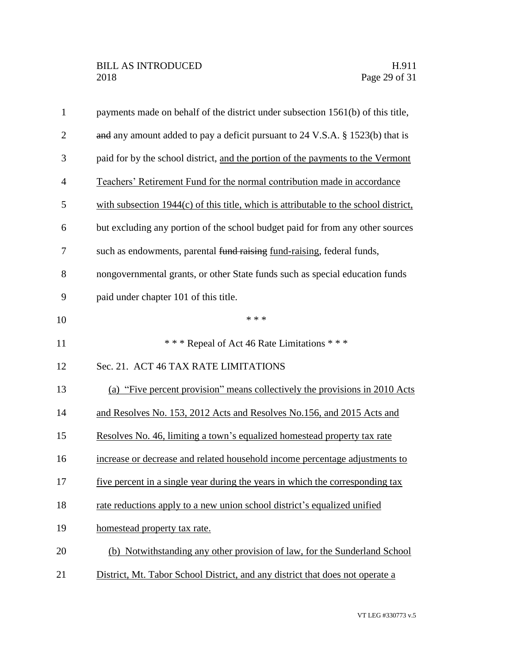| $\mathbf{1}$   | payments made on behalf of the district under subsection 1561(b) of this title,      |
|----------------|--------------------------------------------------------------------------------------|
| $\overline{2}$ | and any amount added to pay a deficit pursuant to 24 V.S.A. § 1523(b) that is        |
| 3              | paid for by the school district, and the portion of the payments to the Vermont      |
| $\overline{4}$ | Teachers' Retirement Fund for the normal contribution made in accordance             |
| 5              | with subsection 1944(c) of this title, which is attributable to the school district, |
| 6              | but excluding any portion of the school budget paid for from any other sources       |
| 7              | such as endowments, parental fund raising fund-raising, federal funds,               |
| 8              | nongovernmental grants, or other State funds such as special education funds         |
| 9              | paid under chapter 101 of this title.                                                |
| 10             | * * *                                                                                |
| 11             | *** Repeal of Act 46 Rate Limitations ***                                            |
| 12             | Sec. 21. ACT 46 TAX RATE LIMITATIONS                                                 |
| 13             | (a) "Five percent provision" means collectively the provisions in 2010 Acts          |
| 14             | and Resolves No. 153, 2012 Acts and Resolves No.156, and 2015 Acts and               |
| 15             | Resolves No. 46, limiting a town's equalized homestead property tax rate             |
| 16             | increase or decrease and related household income percentage adjustments to          |
| 17             | five percent in a single year during the years in which the corresponding tax        |
| 18             | rate reductions apply to a new union school district's equalized unified             |
| 19             | homestead property tax rate.                                                         |
| 20             | (b) Notwithstanding any other provision of law, for the Sunderland School            |
| 21             | District, Mt. Tabor School District, and any district that does not operate a        |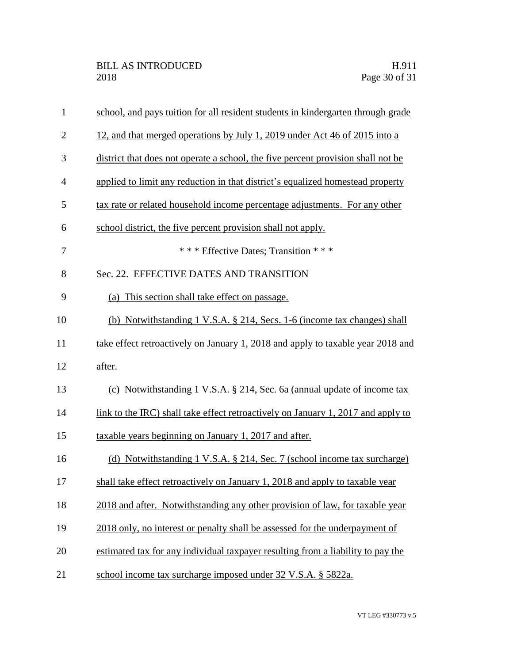| $\mathbf{1}$   | school, and pays tuition for all resident students in kindergarten through grade |
|----------------|----------------------------------------------------------------------------------|
| $\overline{2}$ | 12, and that merged operations by July 1, 2019 under Act 46 of 2015 into a       |
| 3              | district that does not operate a school, the five percent provision shall not be |
| $\overline{4}$ | applied to limit any reduction in that district's equalized homestead property   |
| 5              | tax rate or related household income percentage adjustments. For any other       |
| 6              | school district, the five percent provision shall not apply.                     |
| 7              | *** Effective Dates; Transition ***                                              |
| 8              | Sec. 22. EFFECTIVE DATES AND TRANSITION                                          |
| 9              | (a) This section shall take effect on passage.                                   |
| 10             | (b) Notwithstanding 1 V.S.A. § 214, Secs. 1-6 (income tax changes) shall         |
| 11             | take effect retroactively on January 1, 2018 and apply to taxable year 2018 and  |
| 12             | after.                                                                           |
| 13             | (c) Notwithstanding 1 V.S.A. § 214, Sec. 6a (annual update of income tax         |
| 14             | link to the IRC) shall take effect retroactively on January 1, 2017 and apply to |
| 15             | taxable years beginning on January 1, 2017 and after.                            |
| 16             | (d) Notwithstanding 1 V.S.A. § 214, Sec. 7 (school income tax surcharge)         |
| 17             | shall take effect retroactively on January 1, 2018 and apply to taxable year     |
| 18             | 2018 and after. Notwithstanding any other provision of law, for taxable year     |
| 19             | 2018 only, no interest or penalty shall be assessed for the underpayment of      |
| 20             | estimated tax for any individual taxpayer resulting from a liability to pay the  |
| 21             | school income tax surcharge imposed under 32 V.S.A. § 5822a.                     |